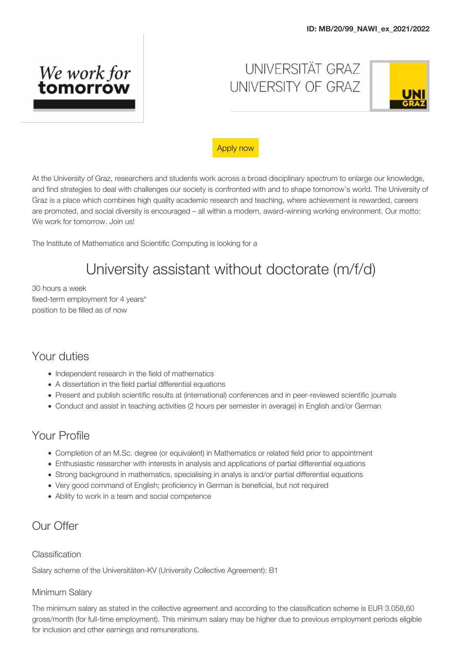

UNIVERSITÄT GRAZ UNIVERSITY OF GRAZ



#### [Apply now](https://uni-graz.jobbase.io/apply/zitkkr1jro56aamtqmm9z50e5rydhoz)

At the University of Graz, researchers and students work across a broad disciplinary spectrum to enlarge our knowledge, and find strategies to deal with challenges our society is confronted with and to shape tomorrow's world. The University of Graz is a place which combines high quality academic research and teaching, where achievement is rewarded, careers are promoted, and social diversity is encouraged – all within a modern, award-winning working environment. Our motto: We work for tomorrow. Join us!

The Institute of Mathematics and Scientific Computing is looking for a

# University assistant without doctorate (m/f/d)

30 hours a week fixed-term employment for 4 years\* position to be filled as of now

## Your duties

- Independent research in the field of mathematics
- A dissertation in the field partial differential equations
- Present and publish scientific results at (international) conferences and in peer-reviewed scientific journals
- Conduct and assist in teaching activities (2 hours per semester in average) in English and/or German

## Your Profile

- Completion of an M.Sc. degree (or equivalent) in Mathematics or related field prior to appointment
- Enthusiastic researcher with interests in analysis and applications of partial differential equations
- Strong background in mathematics, specialising in analys is and/or partial differential equations
- Very good command of English; proficiency in German is beneficial, but not required
- Ability to work in a team and social competence

## Our Offer

#### Classification

Salary scheme of the Universitäten-KV (University Collective Agreement): B1

#### Minimum Salary

The minimum salary as stated in the collective agreement and according to the classification scheme is EUR 3.058,60 gross/month (for full-time employment). This minimum salary may be higher due to previous employment periods eligible for inclusion and other earnings and remunerations.